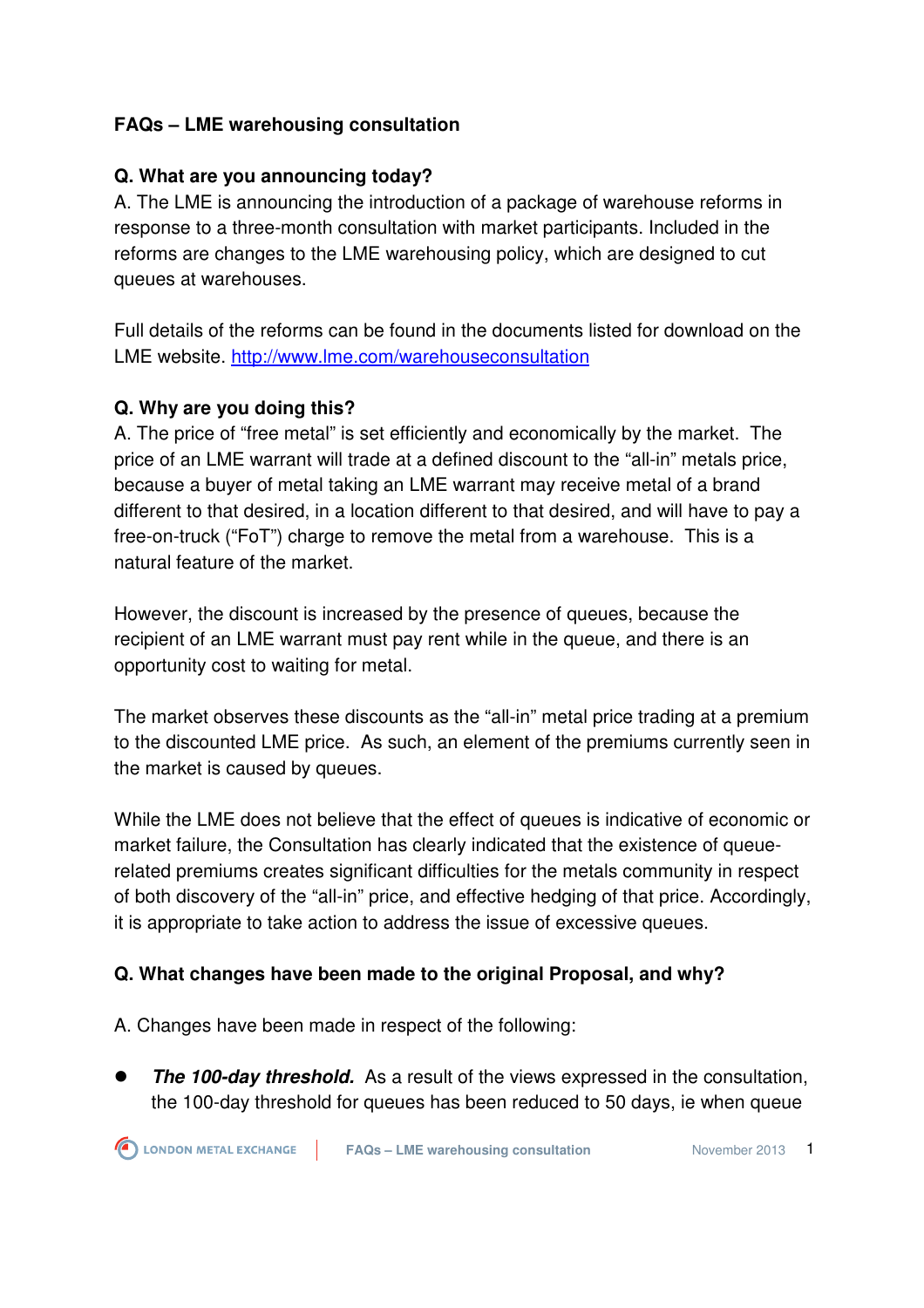#### **FAQs – LME warehousing consultation**

#### **Q. What are you announcing today?**

A. The LME is announcing the introduction of a package of warehouse reforms in response to a three-month consultation with market participants. Included in the reforms are changes to the LME warehousing policy, which are designed to cut queues at warehouses.

Full details of the reforms can be found in the documents listed for download on the LME website. http://www.lme.com/warehouseconsultation

#### **Q. Why are you doing this?**

A. The price of "free metal" is set efficiently and economically by the market. The price of an LME warrant will trade at a defined discount to the "all-in" metals price, because a buyer of metal taking an LME warrant may receive metal of a brand different to that desired, in a location different to that desired, and will have to pay a free-on-truck ("FoT") charge to remove the metal from a warehouse. This is a natural feature of the market.

However, the discount is increased by the presence of queues, because the recipient of an LME warrant must pay rent while in the queue, and there is an opportunity cost to waiting for metal.

The market observes these discounts as the "all-in" metal price trading at a premium to the discounted LME price. As such, an element of the premiums currently seen in the market is caused by queues.

While the LME does not believe that the effect of queues is indicative of economic or market failure, the Consultation has clearly indicated that the existence of queuerelated premiums creates significant difficulties for the metals community in respect of both discovery of the "all-in" price, and effective hedging of that price. Accordingly, it is appropriate to take action to address the issue of excessive queues.

#### **Q. What changes have been made to the original Proposal, and why?**

A. Changes have been made in respect of the following:

 **The 100-day threshold.** As a result of the views expressed in the consultation, the 100-day threshold for queues has been reduced to 50 days, ie when queue

**FAQs – LME warehousing consultation November 2013** 1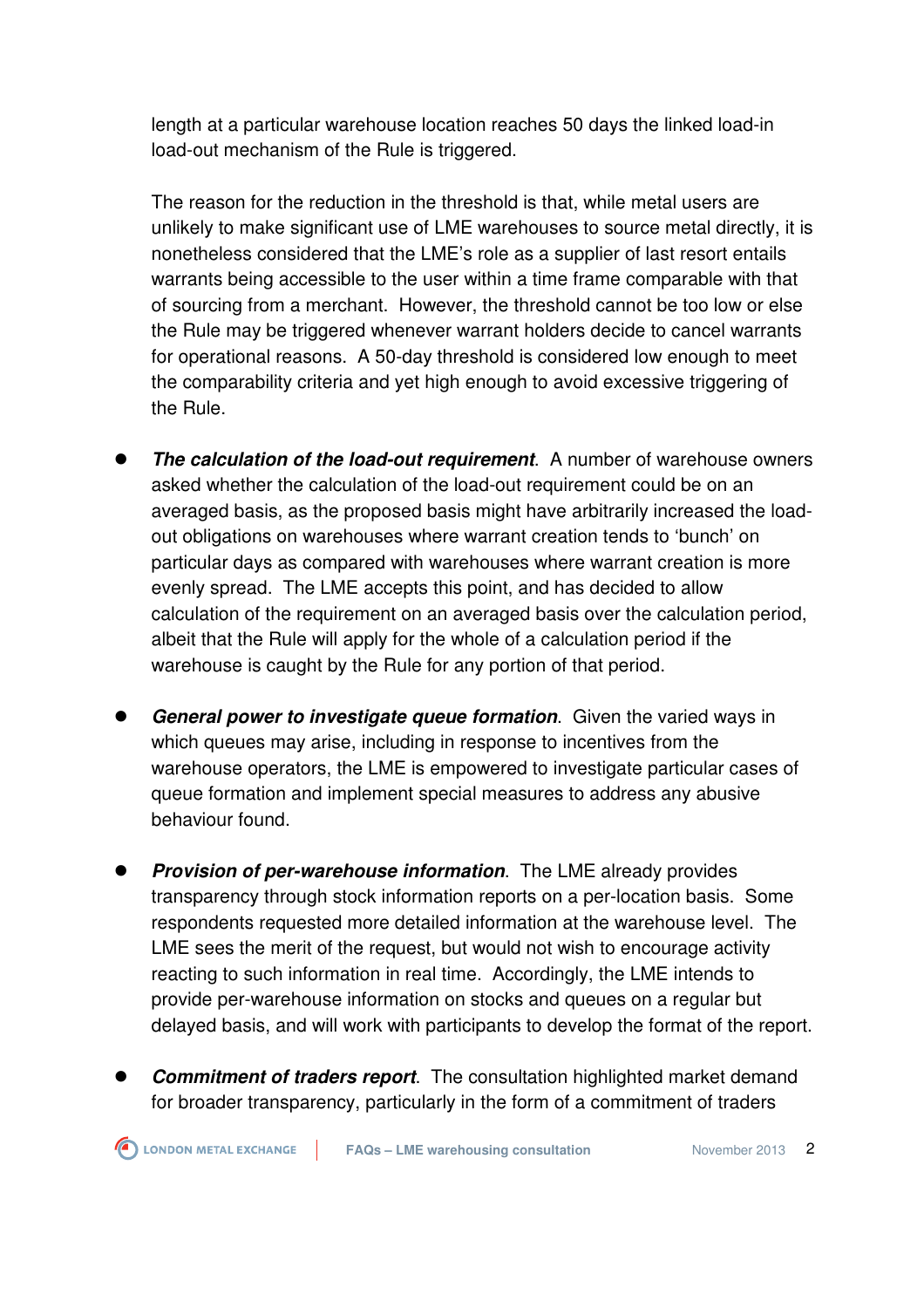length at a particular warehouse location reaches 50 days the linked load-in load-out mechanism of the Rule is triggered.

The reason for the reduction in the threshold is that, while metal users are unlikely to make significant use of LME warehouses to source metal directly, it is nonetheless considered that the LME's role as a supplier of last resort entails warrants being accessible to the user within a time frame comparable with that of sourcing from a merchant. However, the threshold cannot be too low or else the Rule may be triggered whenever warrant holders decide to cancel warrants for operational reasons. A 50-day threshold is considered low enough to meet the comparability criteria and yet high enough to avoid excessive triggering of the Rule.

- **The calculation of the load-out requirement**. A number of warehouse owners asked whether the calculation of the load-out requirement could be on an averaged basis, as the proposed basis might have arbitrarily increased the loadout obligations on warehouses where warrant creation tends to 'bunch' on particular days as compared with warehouses where warrant creation is more evenly spread. The LME accepts this point, and has decided to allow calculation of the requirement on an averaged basis over the calculation period, albeit that the Rule will apply for the whole of a calculation period if the warehouse is caught by the Rule for any portion of that period.
- **General power to investigate queue formation**. Given the varied ways in which queues may arise, including in response to incentives from the warehouse operators, the LME is empowered to investigate particular cases of queue formation and implement special measures to address any abusive behaviour found.
- **Provision of per-warehouse information**. The LME already provides transparency through stock information reports on a per-location basis. Some respondents requested more detailed information at the warehouse level. The LME sees the merit of the request, but would not wish to encourage activity reacting to such information in real time. Accordingly, the LME intends to provide per-warehouse information on stocks and queues on a regular but delayed basis, and will work with participants to develop the format of the report.
- **Commitment of traders report**. The consultation highlighted market demand for broader transparency, particularly in the form of a commitment of traders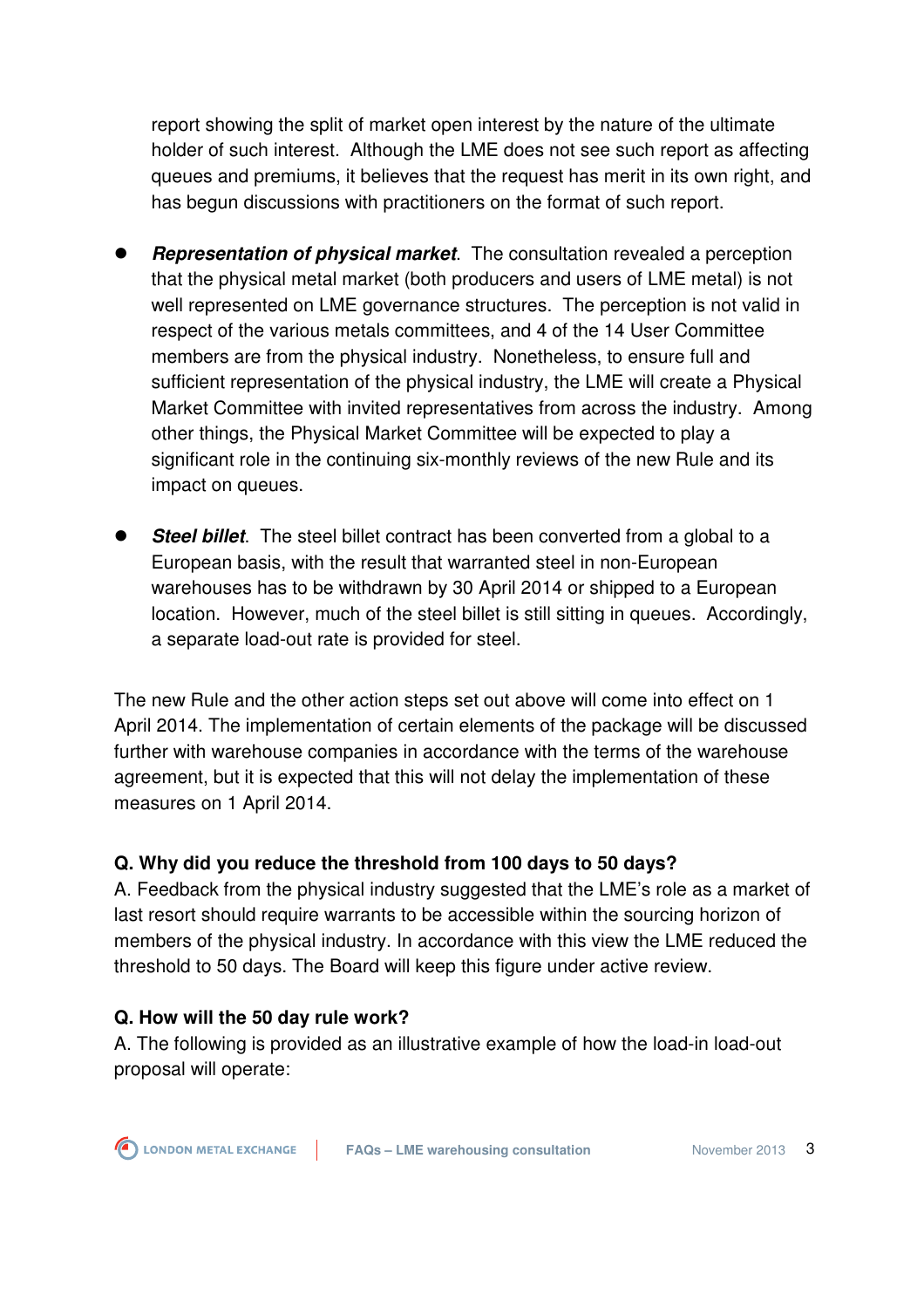report showing the split of market open interest by the nature of the ultimate holder of such interest. Although the LME does not see such report as affecting queues and premiums, it believes that the request has merit in its own right, and has begun discussions with practitioners on the format of such report.

- **Representation of physical market**. The consultation revealed a perception that the physical metal market (both producers and users of LME metal) is not well represented on LME governance structures. The perception is not valid in respect of the various metals committees, and 4 of the 14 User Committee members are from the physical industry. Nonetheless, to ensure full and sufficient representation of the physical industry, the LME will create a Physical Market Committee with invited representatives from across the industry. Among other things, the Physical Market Committee will be expected to play a significant role in the continuing six-monthly reviews of the new Rule and its impact on queues.
- **Steel billet**. The steel billet contract has been converted from a global to a European basis, with the result that warranted steel in non-European warehouses has to be withdrawn by 30 April 2014 or shipped to a European location. However, much of the steel billet is still sitting in queues. Accordingly, a separate load-out rate is provided for steel.

The new Rule and the other action steps set out above will come into effect on 1 April 2014. The implementation of certain elements of the package will be discussed further with warehouse companies in accordance with the terms of the warehouse agreement, but it is expected that this will not delay the implementation of these measures on 1 April 2014.

#### **Q. Why did you reduce the threshold from 100 days to 50 days?**

A. Feedback from the physical industry suggested that the LME's role as a market of last resort should require warrants to be accessible within the sourcing horizon of members of the physical industry. In accordance with this view the LME reduced the threshold to 50 days. The Board will keep this figure under active review.

#### **Q. How will the 50 day rule work?**

A. The following is provided as an illustrative example of how the load-in load-out proposal will operate: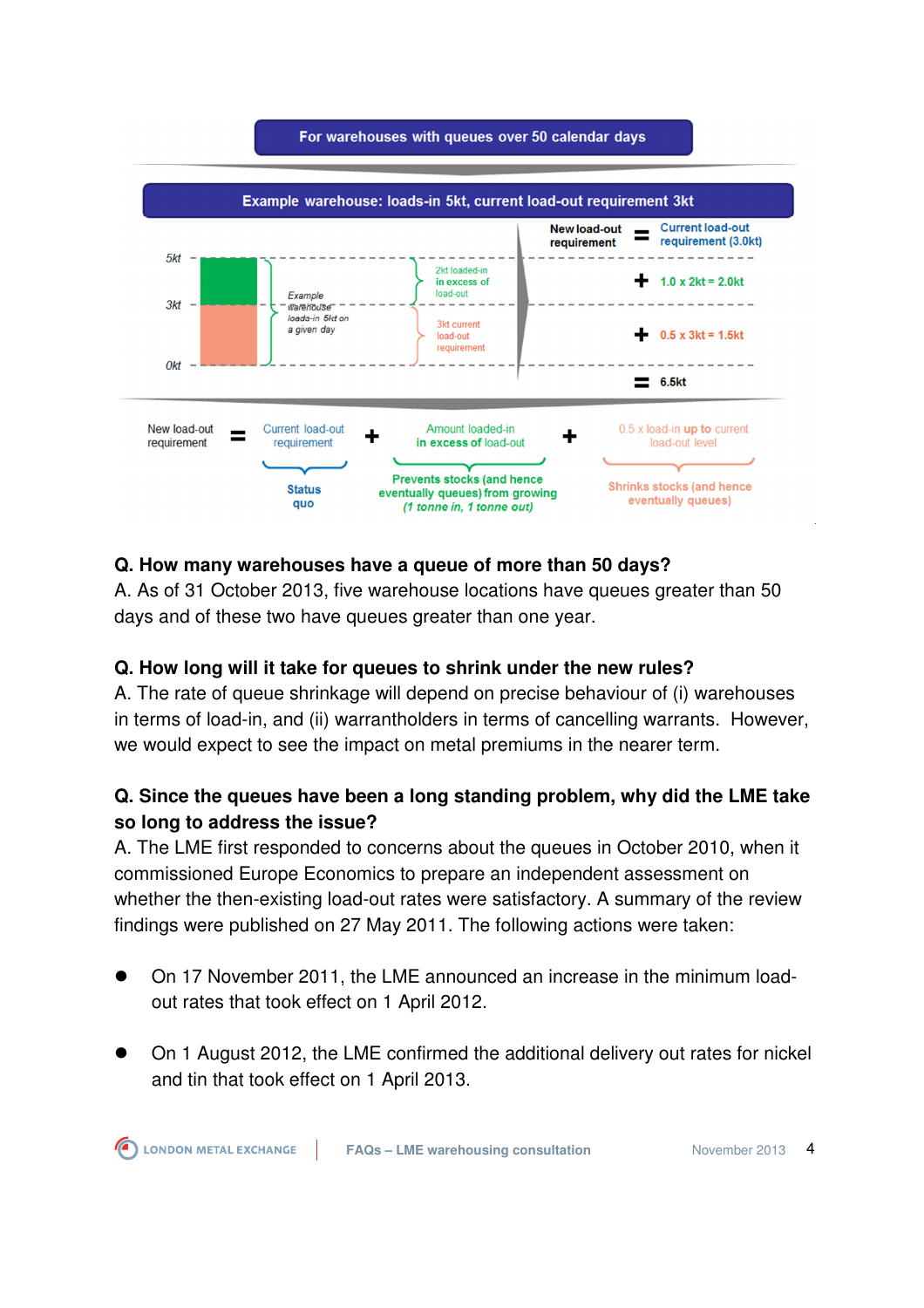

#### **Q. How many warehouses have a queue of more than 50 days?**

A. As of 31 October 2013, five warehouse locations have queues greater than 50 days and of these two have queues greater than one year.

#### **Q. How long will it take for queues to shrink under the new rules?**

A. The rate of queue shrinkage will depend on precise behaviour of (i) warehouses in terms of load-in, and (ii) warrantholders in terms of cancelling warrants. However, we would expect to see the impact on metal premiums in the nearer term.

# **Q. Since the queues have been a long standing problem, why did the LME take so long to address the issue?**

A. The LME first responded to concerns about the queues in October 2010, when it commissioned Europe Economics to prepare an independent assessment on whether the then-existing load-out rates were satisfactory. A summary of the review findings were published on 27 May 2011. The following actions were taken:

- On 17 November 2011, the LME announced an increase in the minimum loadout rates that took effect on 1 April 2012.
- On 1 August 2012, the LME confirmed the additional delivery out rates for nickel and tin that took effect on 1 April 2013.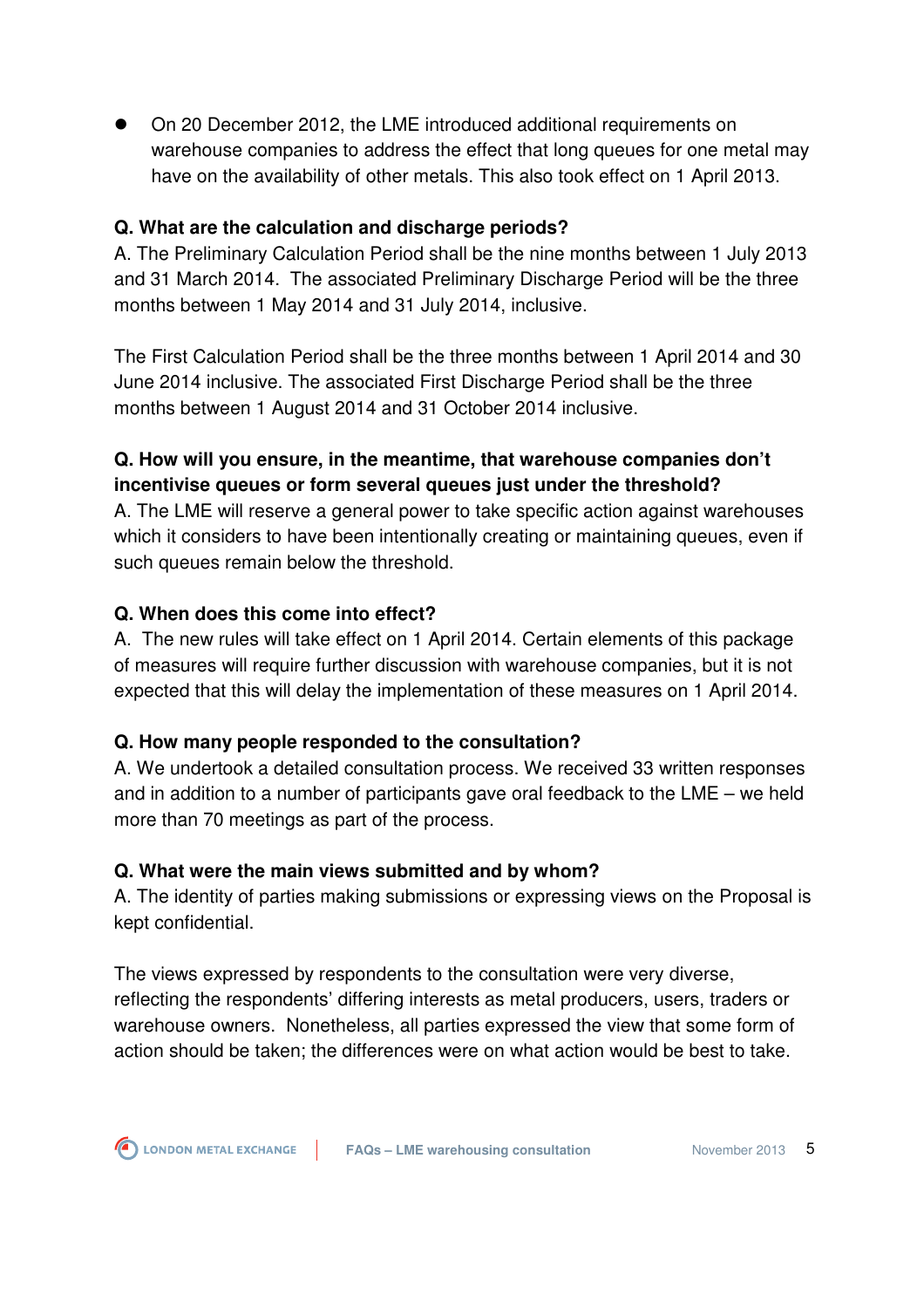On 20 December 2012, the LME introduced additional requirements on warehouse companies to address the effect that long queues for one metal may have on the availability of other metals. This also took effect on 1 April 2013.

#### **Q. What are the calculation and discharge periods?**

A. The Preliminary Calculation Period shall be the nine months between 1 July 2013 and 31 March 2014. The associated Preliminary Discharge Period will be the three months between 1 May 2014 and 31 July 2014, inclusive.

The First Calculation Period shall be the three months between 1 April 2014 and 30 June 2014 inclusive. The associated First Discharge Period shall be the three months between 1 August 2014 and 31 October 2014 inclusive.

# **Q. How will you ensure, in the meantime, that warehouse companies don't incentivise queues or form several queues just under the threshold?**

A. The LME will reserve a general power to take specific action against warehouses which it considers to have been intentionally creating or maintaining queues, even if such queues remain below the threshold.

#### **Q. When does this come into effect?**

A. The new rules will take effect on 1 April 2014. Certain elements of this package of measures will require further discussion with warehouse companies, but it is not expected that this will delay the implementation of these measures on 1 April 2014.

# **Q. How many people responded to the consultation?**

A. We undertook a detailed consultation process. We received 33 written responses and in addition to a number of participants gave oral feedback to the LME – we held more than 70 meetings as part of the process.

# **Q. What were the main views submitted and by whom?**

A. The identity of parties making submissions or expressing views on the Proposal is kept confidential.

The views expressed by respondents to the consultation were very diverse, reflecting the respondents' differing interests as metal producers, users, traders or warehouse owners. Nonetheless, all parties expressed the view that some form of action should be taken; the differences were on what action would be best to take.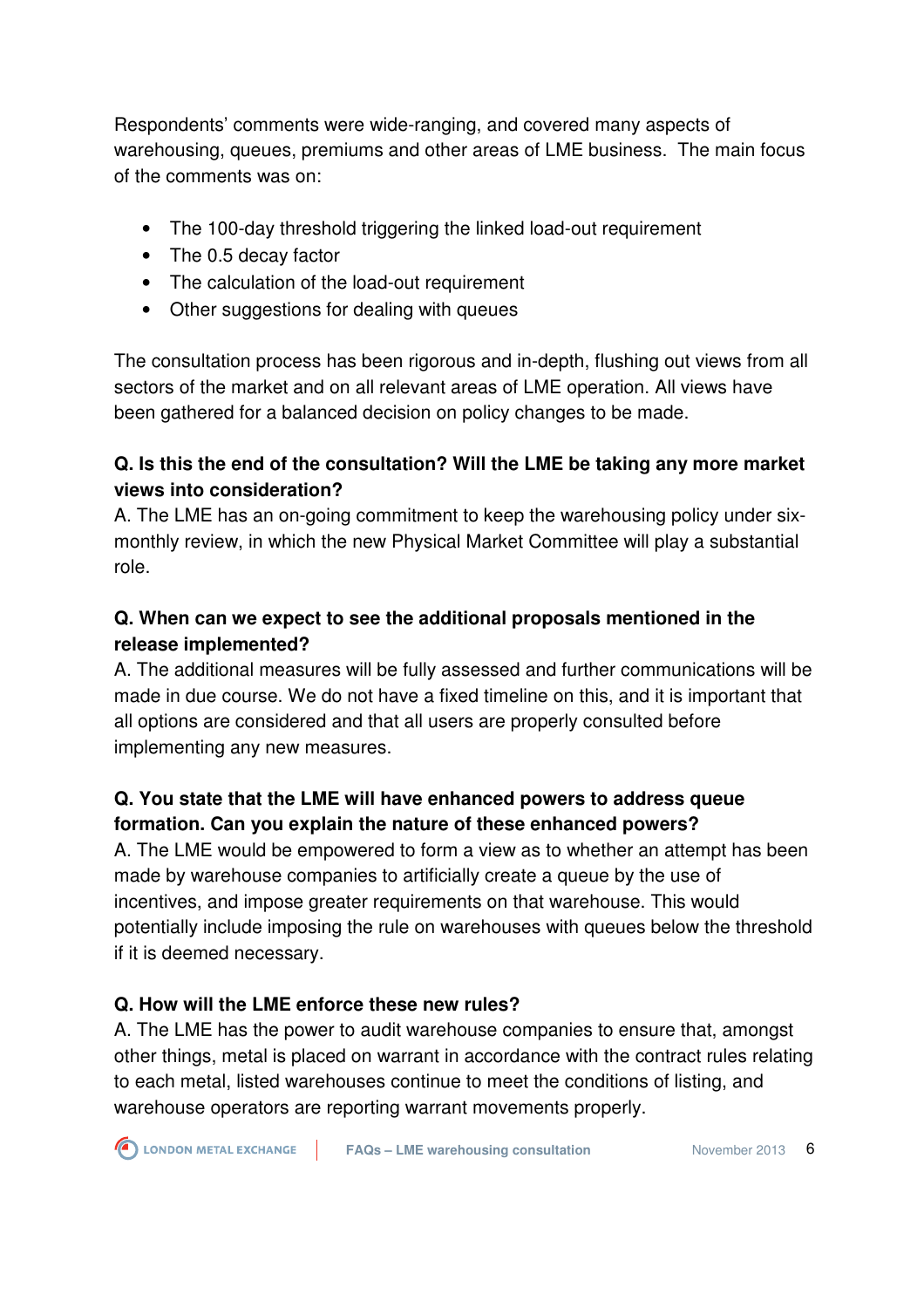Respondents' comments were wide-ranging, and covered many aspects of warehousing, queues, premiums and other areas of LME business. The main focus of the comments was on:

- The 100-day threshold triggering the linked load-out requirement
- The 0.5 decay factor
- The calculation of the load-out requirement
- Other suggestions for dealing with queues

The consultation process has been rigorous and in-depth, flushing out views from all sectors of the market and on all relevant areas of LME operation. All views have been gathered for a balanced decision on policy changes to be made.

#### **Q. Is this the end of the consultation? Will the LME be taking any more market views into consideration?**

A. The LME has an on-going commitment to keep the warehousing policy under sixmonthly review, in which the new Physical Market Committee will play a substantial role.

### **Q. When can we expect to see the additional proposals mentioned in the release implemented?**

A. The additional measures will be fully assessed and further communications will be made in due course. We do not have a fixed timeline on this, and it is important that all options are considered and that all users are properly consulted before implementing any new measures.

# **Q. You state that the LME will have enhanced powers to address queue formation. Can you explain the nature of these enhanced powers?**

A. The LME would be empowered to form a view as to whether an attempt has been made by warehouse companies to artificially create a queue by the use of incentives, and impose greater requirements on that warehouse. This would potentially include imposing the rule on warehouses with queues below the threshold if it is deemed necessary.

# **Q. How will the LME enforce these new rules?**

A. The LME has the power to audit warehouse companies to ensure that, amongst other things, metal is placed on warrant in accordance with the contract rules relating to each metal, listed warehouses continue to meet the conditions of listing, and warehouse operators are reporting warrant movements properly.